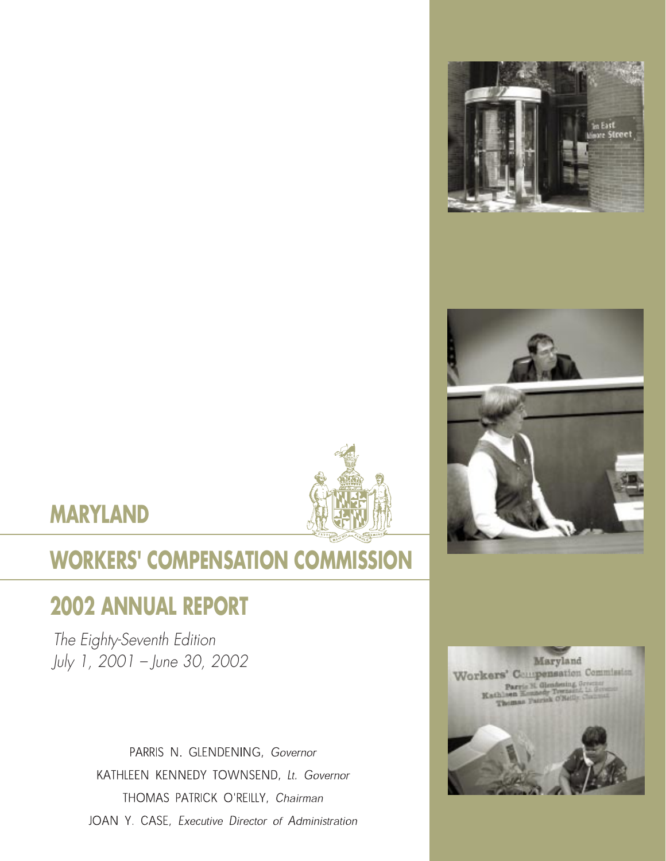







# **WORKERS' COMPENSATION COMMISSION**

# **2002 ANNUAL REPORT**

The Eighty-Seventh Edition July 1, 2001 – June 30, 2002

> PARRIS N. GLENDENING, Governor KATHLEEN KENNEDY TOWNSEND, Lt. Governor THOMAS PATRICK O'REILLY, Chairman JOAN Y. CASE, Executive Director of Administration

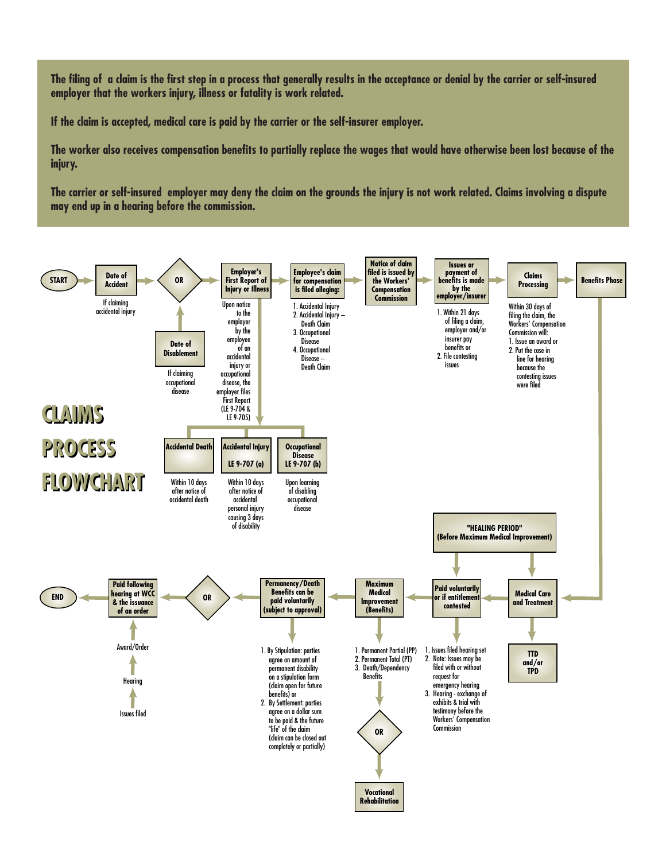**The filing of a claim is the first step in a process that generally results in the acceptance or denial by the carrier or self-insured employer that the workers injury, illness or fatality is work related.**

**If the claim is accepted, medical care is paid by the carrier or the self-insurer employer.**

**The worker also receives compensation benefits to partially replace the wages that would have otherwise been lost because of the injury.**

**The carrier or self-insured employer may deny the claim on the grounds the injury is not work related. Claims involving a dispute may end up in a hearing before the commission.**

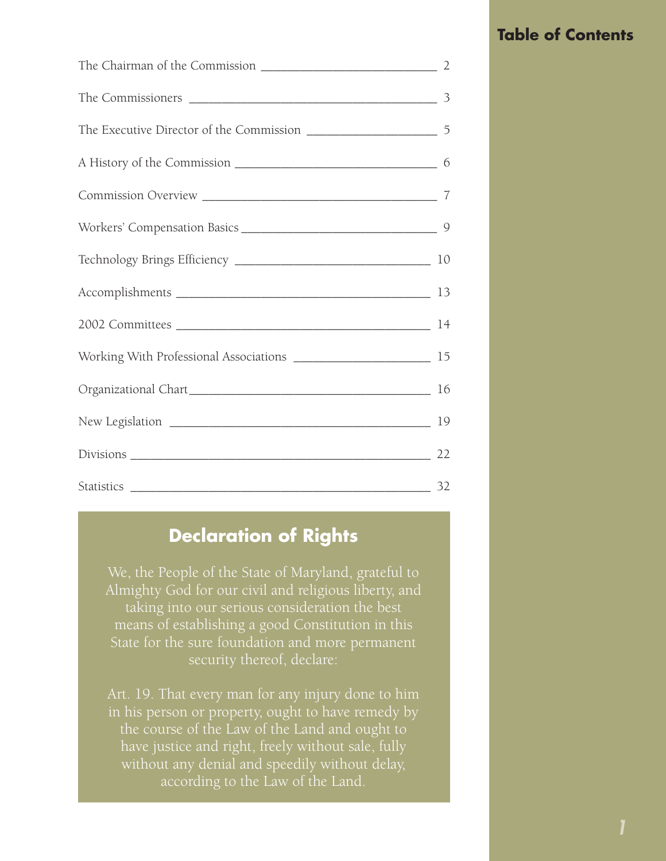## **Table of Contents**

# **Declaration of Rights**

We, the People of the State of Maryland, grateful to Almighty God for our civil and religious liberty, and taking into our serious consideration the best means of establishing a good Constitution in this State for the sure foundation and more permanent security thereof, declare:

Art. 19. That every man for any injury done to him in his person or property, ought to have remedy by the course of the Law of the Land and ought to have justice and right, freely without sale, fully without any denial and speedily without delay, according to the Law of the Land.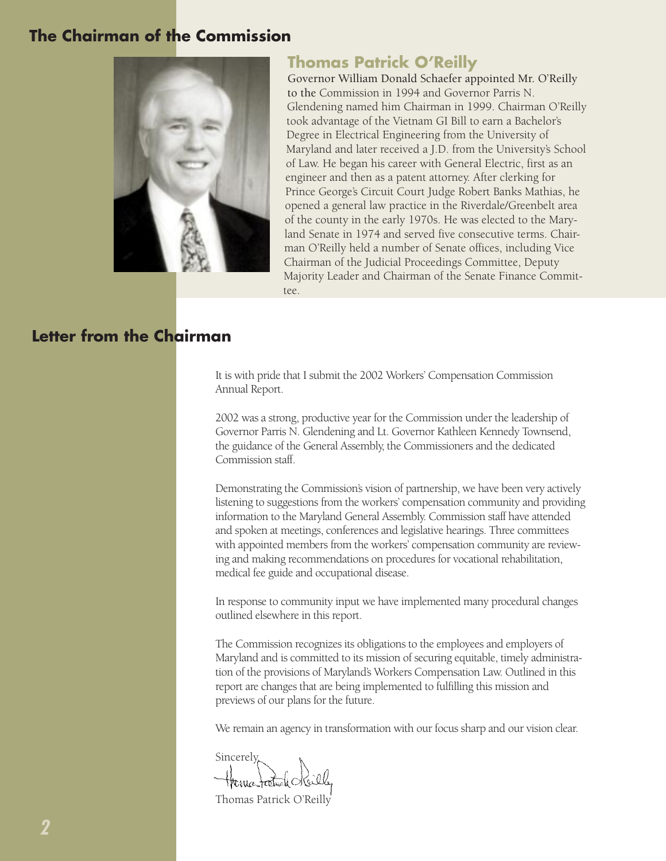#### **The Chairman of the Commission**



#### **Thomas Patrick O'Reilly**

Governor William Donald Schaefer appointed Mr. O'Reilly to the Commission in 1994 and Governor Parris N. Glendening named him Chairman in 1999. Chairman O'Reilly took advantage of the Vietnam GI Bill to earn a Bachelor's Degree in Electrical Engineering from the University of Maryland and later received a J.D. from the University's School of Law. He began his career with General Electric, first as an engineer and then as a patent attorney. After clerking for Prince George's Circuit Court Judge Robert Banks Mathias, he opened a general law practice in the Riverdale/Greenbelt area of the county in the early 1970s. He was elected to the Maryland Senate in 1974 and served five consecutive terms. Chairman O'Reilly held a number of Senate offices, including Vice Chairman of the Judicial Proceedings Committee, Deputy Majority Leader and Chairman of the Senate Finance Committee.

#### **Letter from the Chairman**

It is with pride that I submit the 2002 Workers' Compensation Commission Annual Report.

2002 was a strong, productive year for the Commission under the leadership of Governor Parris N. Glendening and Lt. Governor Kathleen Kennedy Townsend, the guidance of the General Assembly, the Commissioners and the dedicated Commission staff.

Demonstrating the Commission's vision of partnership, we have been very actively listening to suggestions from the workers' compensation community and providing information to the Maryland General Assembly. Commission staff have attended and spoken at meetings, conferences and legislative hearings. Three committees with appointed members from the workers' compensation community are reviewing and making recommendations on procedures for vocational rehabilitation, medical fee guide and occupational disease.

In response to community input we have implemented many procedural changes outlined elsewhere in this report.

The Commission recognizes its obligations to the employees and employers of Maryland and is committed to its mission of securing equitable, timely administration of the provisions of Maryland's Workers Compensation Law. Outlined in this report are changes that are being implemented to fulfilling this mission and previews of our plans for the future.

We remain an agency in transformation with our focus sharp and our vision clear.

**Sincerely**,

Thomas Patrick O'Reilly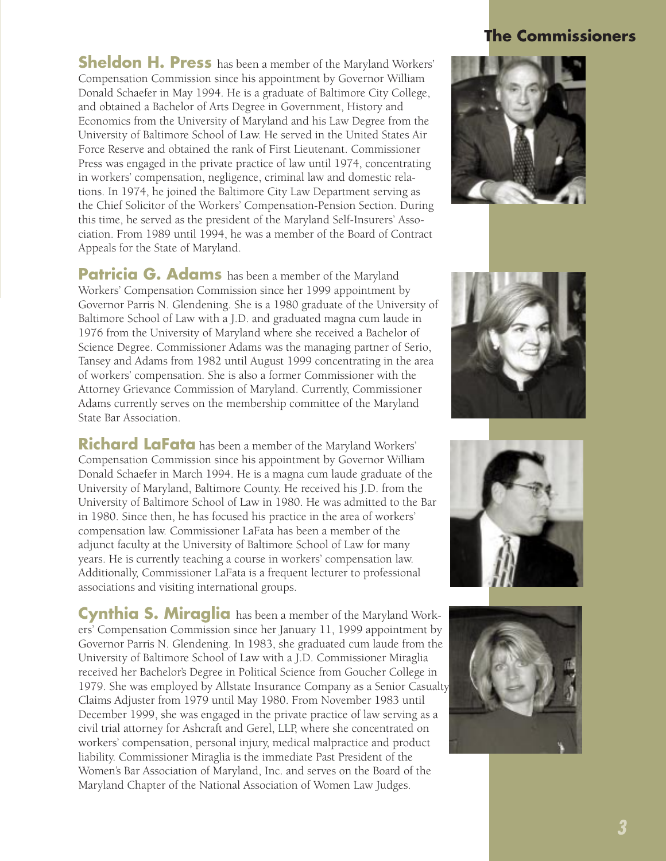### **The Commissioners**

**Sheldon H. Press** has been a member of the Maryland Workers' Compensation Commission since his appointment by Governor William Donald Schaefer in May 1994. He is a graduate of Baltimore City College, and obtained a Bachelor of Arts Degree in Government, History and Economics from the University of Maryland and his Law Degree from the University of Baltimore School of Law. He served in the United States Air Force Reserve and obtained the rank of First Lieutenant. Commissioner Press was engaged in the private practice of law until 1974, concentrating in workers' compensation, negligence, criminal law and domestic relations. In 1974, he joined the Baltimore City Law Department serving as the Chief Solicitor of the Workers' Compensation-Pension Section. During this time, he served as the president of the Maryland Self-Insurers' Association. From 1989 until 1994, he was a member of the Board of Contract Appeals for the State of Maryland.

Patricia G. Adams has been a member of the Maryland Workers' Compensation Commission since her 1999 appointment by Governor Parris N. Glendening. She is a 1980 graduate of the University of Baltimore School of Law with a J.D. and graduated magna cum laude in 1976 from the University of Maryland where she received a Bachelor of Science Degree. Commissioner Adams was the managing partner of Serio, Tansey and Adams from 1982 until August 1999 concentrating in the area of workers' compensation. She is also a former Commissioner with the Attorney Grievance Commission of Maryland. Currently, Commissioner Adams currently serves on the membership committee of the Maryland State Bar Association.

**Richard LaFata** has been a member of the Maryland Workers' Compensation Commission since his appointment by Governor William Donald Schaefer in March 1994. He is a magna cum laude graduate of the University of Maryland, Baltimore County. He received his J.D. from the University of Baltimore School of Law in 1980. He was admitted to the Bar in 1980. Since then, he has focused his practice in the area of workers' compensation law. Commissioner LaFata has been a member of the adjunct faculty at the University of Baltimore School of Law for many years. He is currently teaching a course in workers' compensation law. Additionally, Commissioner LaFata is a frequent lecturer to professional associations and visiting international groups.

**Cynthia S. Miraglia** has been a member of the Maryland Workers' Compensation Commission since her January 11, 1999 appointment by Governor Parris N. Glendening. In 1983, she graduated cum laude from the University of Baltimore School of Law with a J.D. Commissioner Miraglia received her Bachelor's Degree in Political Science from Goucher College in 1979. She was employed by Allstate Insurance Company as a Senior Casualty Claims Adjuster from 1979 until May 1980. From November 1983 until December 1999, she was engaged in the private practice of law serving as a civil trial attorney for Ashcraft and Gerel, LLP, where she concentrated on workers' compensation, personal injury, medical malpractice and product liability. Commissioner Miraglia is the immediate Past President of the Women's Bar Association of Maryland, Inc. and serves on the Board of the Maryland Chapter of the National Association of Women Law Judges.







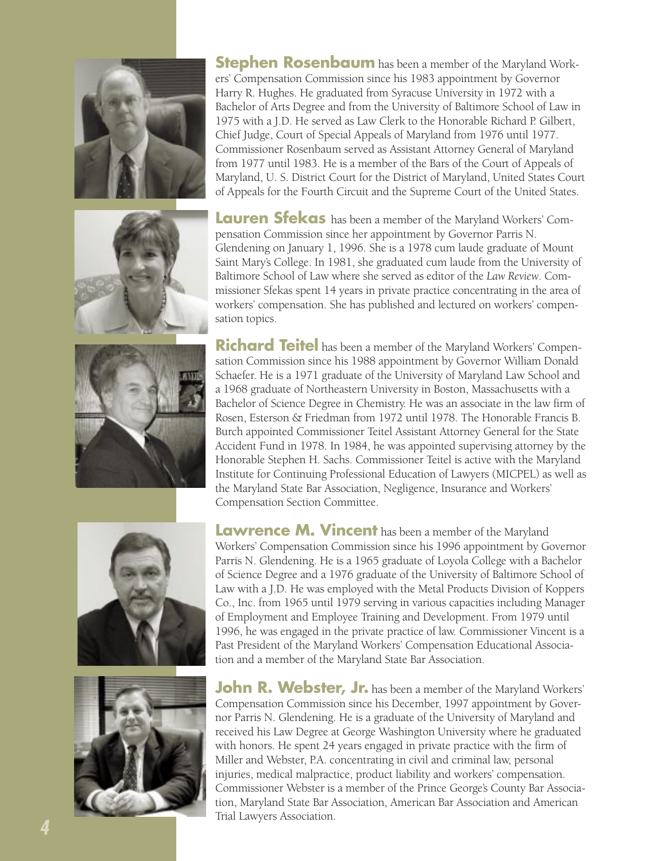









**Stephen Rosenbaum** has been a member of the Maryland Workers' Compensation Commission since his 1983 appointment by Governor Harry R. Hughes. He graduated from Syracuse University in 1972 with a Bachelor of Arts Degree and from the University of Baltimore School of Law in 1975 with a J.D. He served as Law Clerk to the Honorable Richard P. Gilbert, Chief Judge, Court of Special Appeals of Maryland from 1976 until 1977. Commissioner Rosenbaum served as Assistant Attorney General of Maryland from 1977 until 1983. He is a member of the Bars of the Court of Appeals of Maryland, U. S. District Court for the District of Maryland, United States Court of Appeals for the Fourth Circuit and the Supreme Court of the United States.

**Lauren Sfekas** has been a member of the Maryland Workers' Compensation Commission since her appointment by Governor Parris N. Glendening on January 1, 1996. She is a 1978 cum laude graduate of Mount Saint Mary's College. In 1981, she graduated cum laude from the University of Baltimore School of Law where she served as editor of the *Law Review*. Commissioner Sfekas spent 14 years in private practice concentrating in the area of workers' compensation. She has published and lectured on workers' compensation topics.

**Richard Teitel** has been a member of the Maryland Workers' Compensation Commission since his 1988 appointment by Governor William Donald Schaefer. He is a 1971 graduate of the University of Maryland Law School and a 1968 graduate of Northeastern University in Boston, Massachusetts with a Bachelor of Science Degree in Chemistry. He was an associate in the law firm of Rosen, Esterson & Friedman from 1972 until 1978. The Honorable Francis B. Burch appointed Commissioner Teitel Assistant Attorney General for the State Accident Fund in 1978. In 1984, he was appointed supervising attorney by the Honorable Stephen H. Sachs. Commissioner Teitel is active with the Maryland Institute for Continuing Professional Education of Lawyers (MICPEL) as well as the Maryland State Bar Association, Negligence, Insurance and Workers' Compensation Section Committee.

**Lawrence M. Vincent** has been a member of the Maryland Workers' Compensation Commission since his 1996 appointment by Governor Parris N. Glendening. He is a 1965 graduate of Loyola College with a Bachelor of Science Degree and a 1976 graduate of the University of Baltimore School of Law with a J.D. He was employed with the Metal Products Division of Koppers Co., Inc. from 1965 until 1979 serving in various capacities including Manager of Employment and Employee Training and Development. From 1979 until 1996, he was engaged in the private practice of law. Commissioner Vincent is a Past President of the Maryland Workers' Compensation Educational Association and a member of the Maryland State Bar Association.

**John R. Webster, Jr.** has been a member of the Maryland Workers' Compensation Commission since his December, 1997 appointment by Governor Parris N. Glendening. He is a graduate of the University of Maryland and received his Law Degree at George Washington University where he graduated with honors. He spent 24 years engaged in private practice with the firm of Miller and Webster, P.A. concentrating in civil and criminal law, personal injuries, medical malpractice, product liability and workers' compensation. Commissioner Webster is a member of the Prince George's County Bar Association, Maryland State Bar Association, American Bar Association and American Trial Lawyers Association.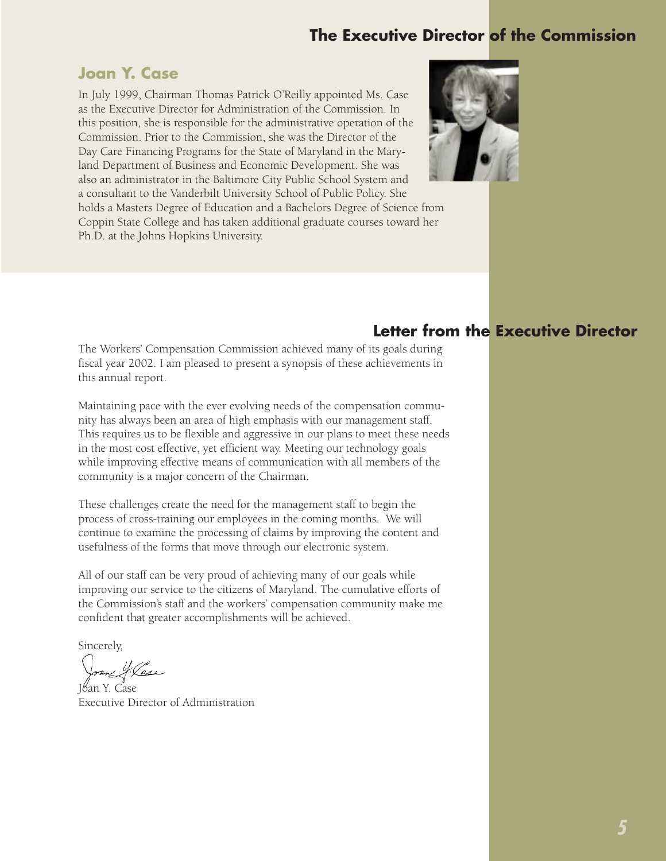# **The Executive Director of the Commission**

#### **Joan Y. Case**

In July 1999, Chairman Thomas Patrick O'Reilly appointed Ms. Case as the Executive Director for Administration of the Commission. In this position, she is responsible for the administrative operation of the Commission. Prior to the Commission, she was the Director of the Day Care Financing Programs for the State of Maryland in the Maryland Department of Business and Economic Development. She was also an administrator in the Baltimore City Public School System and a consultant to the Vanderbilt University School of Public Policy. She holds a Masters Degree of Education and a Bachelors Degree of Science from Coppin State College and has taken additional graduate courses toward her Ph.D. at the Johns Hopkins University.



#### **Letter from the Executive Director**

The Workers' Compensation Commission achieved many of its goals during fiscal year 2002. I am pleased to present a synopsis of these achievements in this annual report.

Maintaining pace with the ever evolving needs of the compensation community has always been an area of high emphasis with our management staff. This requires us to be flexible and aggressive in our plans to meet these needs in the most cost effective, yet efficient way. Meeting our technology goals while improving effective means of communication with all members of the community is a major concern of the Chairman.

These challenges create the need for the management staff to begin the process of cross-training our employees in the coming months. We will continue to examine the processing of claims by improving the content and usefulness of the forms that move through our electronic system.

All of our staff can be very proud of achieving many of our goals while improving our service to the citizens of Maryland. The cumulative efforts of the Commission's staff and the workers' compensation community make me confident that greater accomplishments will be achieved.

Sincerely,

4. Vase

Joan Y. Case Executive Director of Administration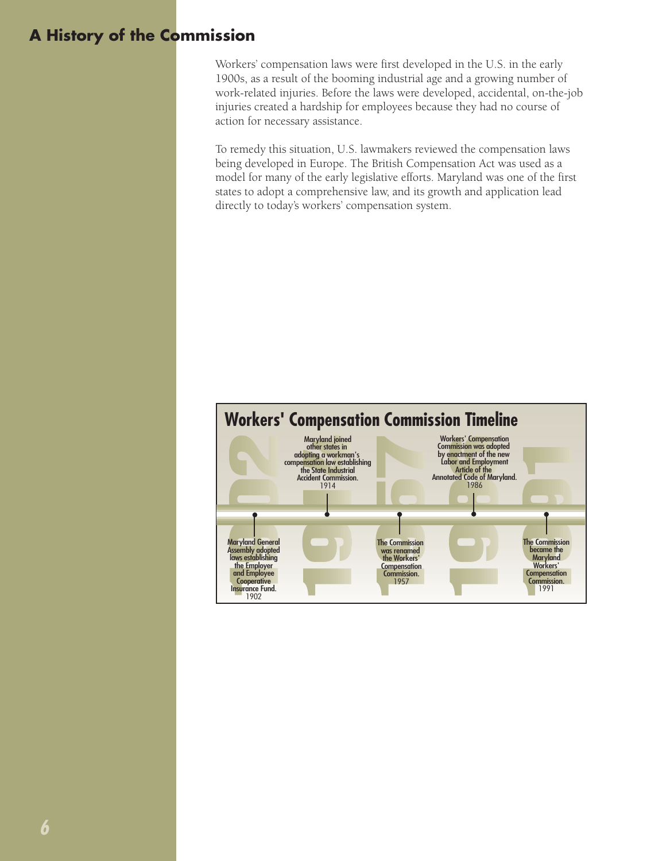# **A History of the Commission**

Workers' compensation laws were first developed in the U.S. in the early 1900s, as a result of the booming industrial age and a growing number of work-related injuries. Before the laws were developed, accidental, on-the-job injuries created a hardship for employees because they had no course of action for necessary assistance.

To remedy this situation, U.S. lawmakers reviewed the compensation laws being developed in Europe. The British Compensation Act was used as a model for many of the early legislative efforts. Maryland was one of the first states to adopt a comprehensive law, and its growth and application lead directly to today's workers' compensation system.

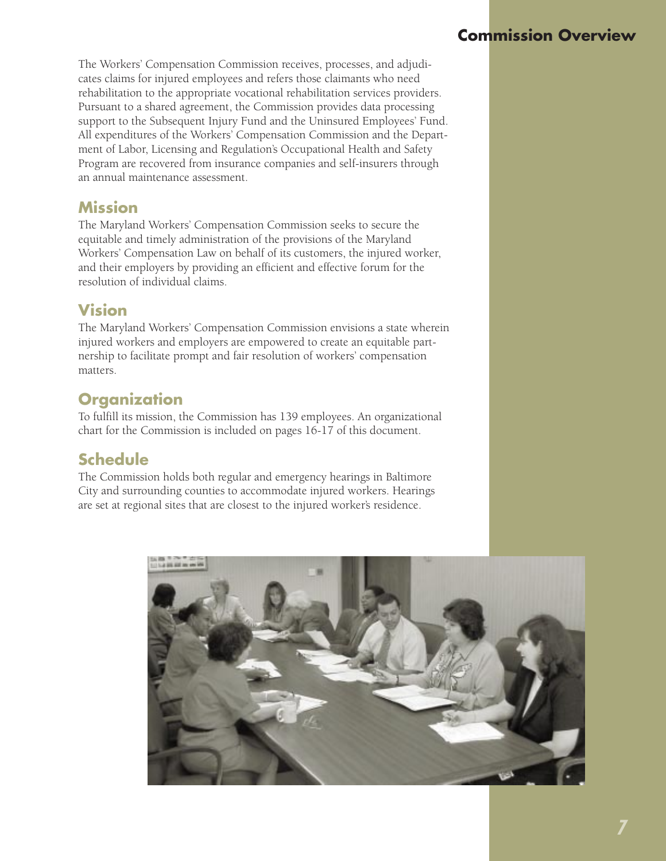# **Commission Overview**

The Workers' Compensation Commission receives, processes, and adjudicates claims for injured employees and refers those claimants who need rehabilitation to the appropriate vocational rehabilitation services providers. Pursuant to a shared agreement, the Commission provides data processing support to the Subsequent Injury Fund and the Uninsured Employees' Fund. All expenditures of the Workers' Compensation Commission and the Department of Labor, Licensing and Regulation's Occupational Health and Safety Program are recovered from insurance companies and self-insurers through an annual maintenance assessment.

#### **Mission**

The Maryland Workers' Compensation Commission seeks to secure the equitable and timely administration of the provisions of the Maryland Workers' Compensation Law on behalf of its customers, the injured worker, and their employers by providing an efficient and effective forum for the resolution of individual claims.

#### **Vision**

The Maryland Workers' Compensation Commission envisions a state wherein injured workers and employers are empowered to create an equitable partnership to facilitate prompt and fair resolution of workers' compensation matters.

### **Organization**

To fulfill its mission, the Commission has 139 employees. An organizational chart for the Commission is included on pages 16-17 of this document.

# **Schedule**

The Commission holds both regular and emergency hearings in Baltimore City and surrounding counties to accommodate injured workers. Hearings are set at regional sites that are closest to the injured worker's residence.

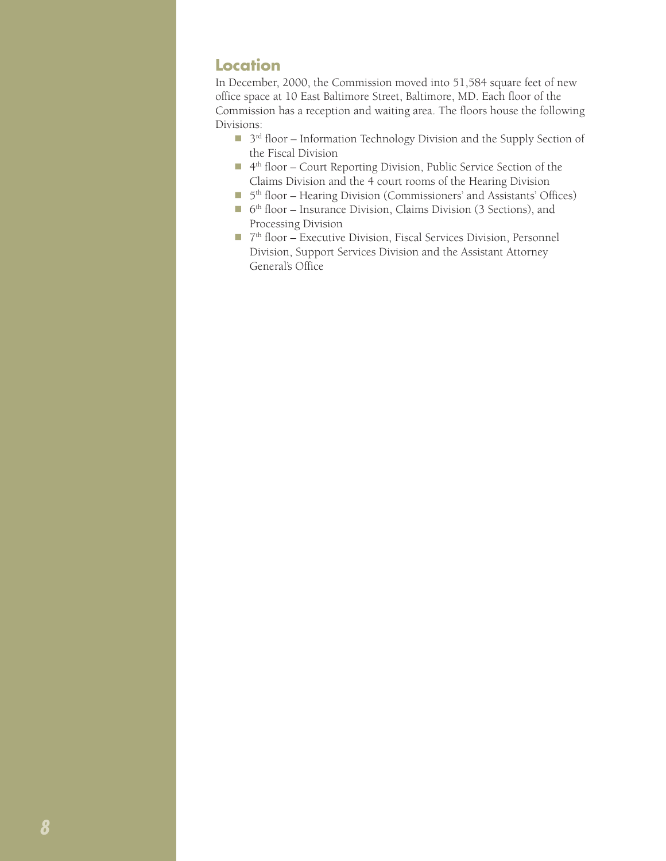#### **Location**

In December, 2000, the Commission moved into 51,584 square feet of new office space at 10 East Baltimore Street, Baltimore, MD. Each floor of the Commission has a reception and waiting area. The floors house the following Divisions:

- $\Box$  3<sup>rd</sup> floor Information Technology Division and the Supply Section of the Fiscal Division
- 4<sup>th</sup> floor Court Reporting Division, Public Service Section of the Claims Division and the 4 court rooms of the Hearing Division
- 5<sup>th</sup> floor Hearing Division (Commissioners' and Assistants' Offices)
- $\blacksquare$  6<sup>th</sup> floor Insurance Division, Claims Division (3 Sections), and Processing Division
- 7<sup>th</sup> floor Executive Division, Fiscal Services Division, Personnel Division, Support Services Division and the Assistant Attorney General's Office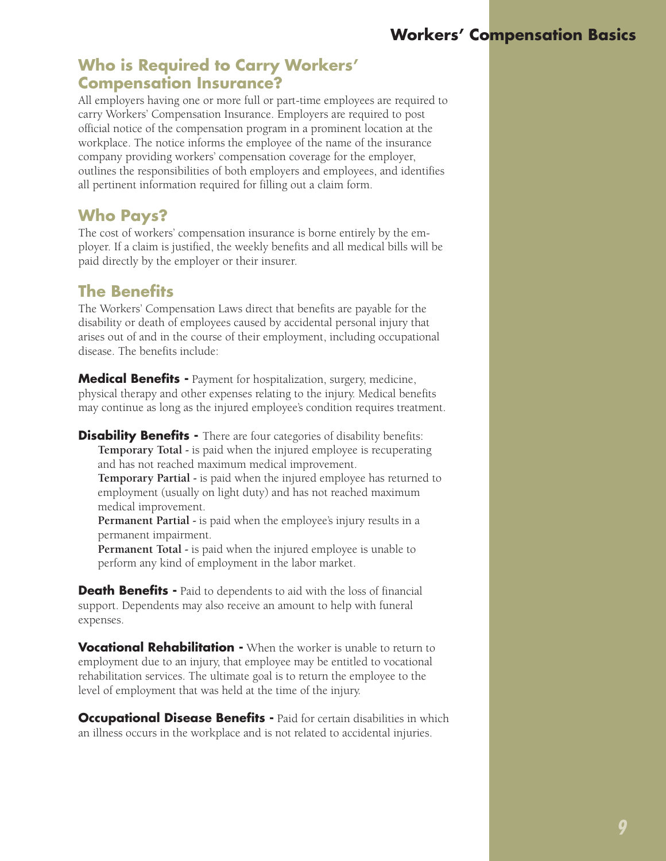# **Workers' Compensation Basics**

#### **Who is Required to Carry Workers' Compensation Insurance?**

All employers having one or more full or part-time employees are required to carry Workers' Compensation Insurance. Employers are required to post official notice of the compensation program in a prominent location at the workplace. The notice informs the employee of the name of the insurance company providing workers' compensation coverage for the employer, outlines the responsibilities of both employers and employees, and identifies all pertinent information required for filling out a claim form.

#### **Who Pays?**

The cost of workers' compensation insurance is borne entirely by the employer. If a claim is justified, the weekly benefits and all medical bills will be paid directly by the employer or their insurer.

# **The Benefits**

The Workers' Compensation Laws direct that benefits are payable for the disability or death of employees caused by accidental personal injury that arises out of and in the course of their employment, including occupational disease. The benefits include:

**Medical Benefits -** Payment for hospitalization, surgery, medicine, physical therapy and other expenses relating to the injury. Medical benefits may continue as long as the injured employee's condition requires treatment.

**Disability Benefits -** There are four categories of disability benefits: **Temporary Total -** is paid when the injured employee is recuperating and has not reached maximum medical improvement. **Temporary Partial -** is paid when the injured employee has returned to employment (usually on light duty) and has not reached maximum medical improvement.

**Permanent Partial -** is paid when the employee's injury results in a permanent impairment.

**Permanent Total -** is paid when the injured employee is unable to perform any kind of employment in the labor market.

**Death Benefits -** Paid to dependents to aid with the loss of financial support. Dependents may also receive an amount to help with funeral expenses.

**Vocational Rehabilitation -** When the worker is unable to return to employment due to an injury, that employee may be entitled to vocational rehabilitation services. The ultimate goal is to return the employee to the level of employment that was held at the time of the injury.

**Occupational Disease Benefits -** Paid for certain disabilities in which an illness occurs in the workplace and is not related to accidental injuries.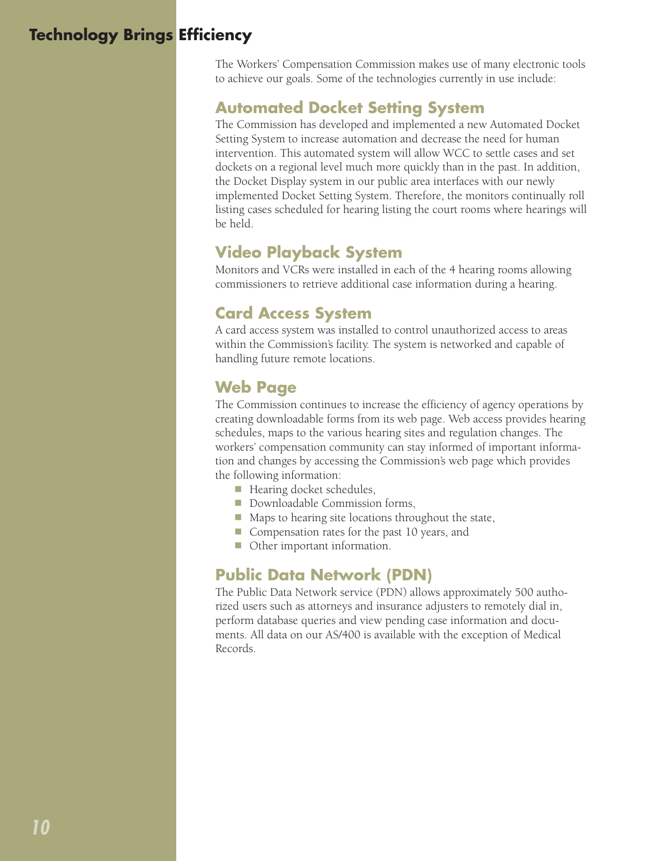# **Technology Brings Efficiency**

The Workers' Compensation Commission makes use of many electronic tools to achieve our goals. Some of the technologies currently in use include:

#### **Automated Docket Setting System**

The Commission has developed and implemented a new Automated Docket Setting System to increase automation and decrease the need for human intervention. This automated system will allow WCC to settle cases and set dockets on a regional level much more quickly than in the past. In addition, the Docket Display system in our public area interfaces with our newly implemented Docket Setting System. Therefore, the monitors continually roll listing cases scheduled for hearing listing the court rooms where hearings will be held.

### **Video Playback System**

Monitors and VCRs were installed in each of the 4 hearing rooms allowing commissioners to retrieve additional case information during a hearing.

# **Card Access System**

A card access system was installed to control unauthorized access to areas within the Commission's facility. The system is networked and capable of handling future remote locations.

# **Web Page**

The Commission continues to increase the efficiency of agency operations by creating downloadable forms from its web page. Web access provides hearing schedules, maps to the various hearing sites and regulation changes. The workers' compensation community can stay informed of important information and changes by accessing the Commission's web page which provides the following information:

- Hearing docket schedules,
- Downloadable Commission forms,
- $\blacksquare$  Maps to hearing site locations throughout the state,
- Compensation rates for the past 10 years, and
- Other important information.

#### **Public Data Network (PDN)**

The Public Data Network service (PDN) allows approximately 500 authorized users such as attorneys and insurance adjusters to remotely dial in, perform database queries and view pending case information and documents. All data on our AS/400 is available with the exception of Medical Records.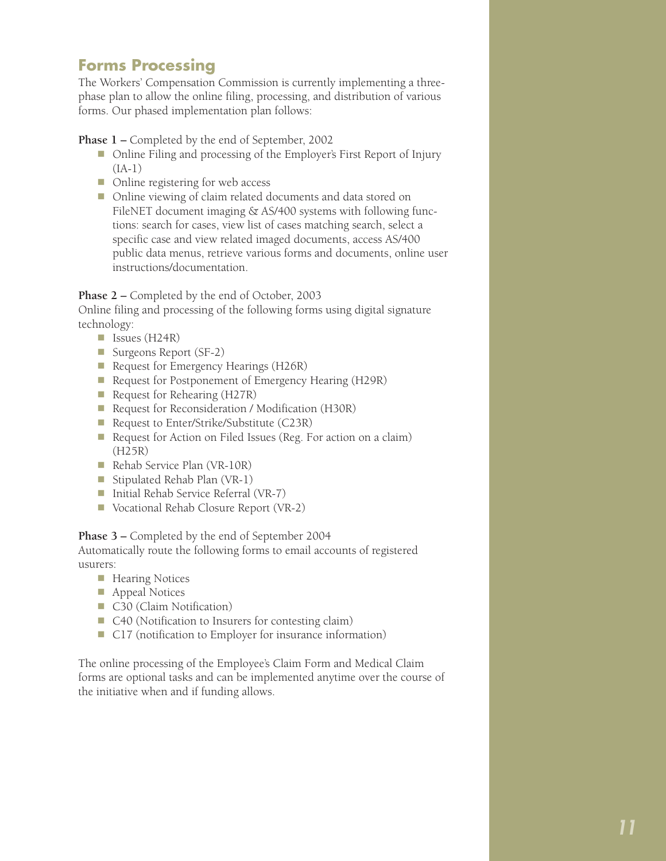## **Forms Processing**

The Workers' Compensation Commission is currently implementing a threephase plan to allow the online filing, processing, and distribution of various forms. Our phased implementation plan follows:

**Phase 1 –** Completed by the end of September, 2002

- Online Filing and processing of the Employer's First Report of Injury (IA-1)
- n Online registering for web access
- Online viewing of claim related documents and data stored on FileNET document imaging & AS/400 systems with following functions: search for cases, view list of cases matching search, select a specific case and view related imaged documents, access AS/400 public data menus, retrieve various forms and documents, online user instructions/documentation.

Phase 2 – Completed by the end of October, 2003

Online filing and processing of the following forms using digital signature technology:

- $\blacksquare$  Issues (H24R)
- Surgeons Report (SF-2)
- Request for Emergency Hearings (H26R)
- Request for Postponement of Emergency Hearing (H29R)
- Request for Rehearing (H27R)
- Request for Reconsideration / Modification (H30R)
- Request to Enter/Strike/Substitute (C23R)
- Request for Action on Filed Issues (Reg. For action on a claim) (H25R)
- Rehab Service Plan (VR-10R)
- Stipulated Rehab Plan  $(VR-1)$
- Initial Rehab Service Referral (VR-7)
- Vocational Rehab Closure Report (VR-2)

**Phase 3 –** Completed by the end of September 2004 Automatically route the following forms to email accounts of registered usurers:

- $\blacksquare$  Hearing Notices
- $\blacksquare$  Appeal Notices
- C30 (Claim Notification)
- C40 (Notification to Insurers for contesting claim)
- C17 (notification to Employer for insurance information)

The online processing of the Employee's Claim Form and Medical Claim forms are optional tasks and can be implemented anytime over the course of the initiative when and if funding allows.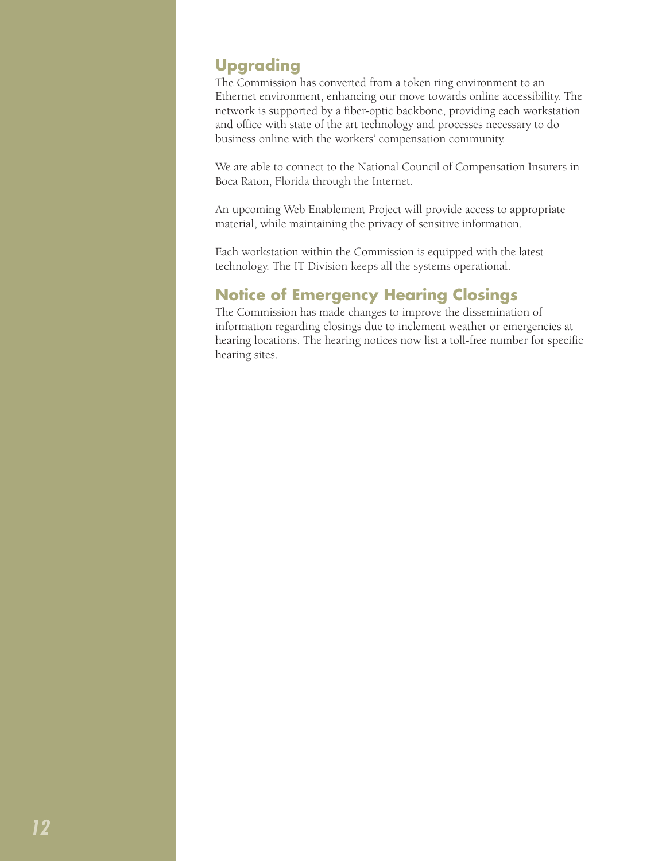# **Upgrading**

The Commission has converted from a token ring environment to an Ethernet environment, enhancing our move towards online accessibility. The network is supported by a fiber-optic backbone, providing each workstation and office with state of the art technology and processes necessary to do business online with the workers' compensation community.

We are able to connect to the National Council of Compensation Insurers in Boca Raton, Florida through the Internet.

An upcoming Web Enablement Project will provide access to appropriate material, while maintaining the privacy of sensitive information.

Each workstation within the Commission is equipped with the latest technology. The IT Division keeps all the systems operational.

# **Notice of Emergency Hearing Closings**

The Commission has made changes to improve the dissemination of information regarding closings due to inclement weather or emergencies at hearing locations. The hearing notices now list a toll-free number for specific hearing sites.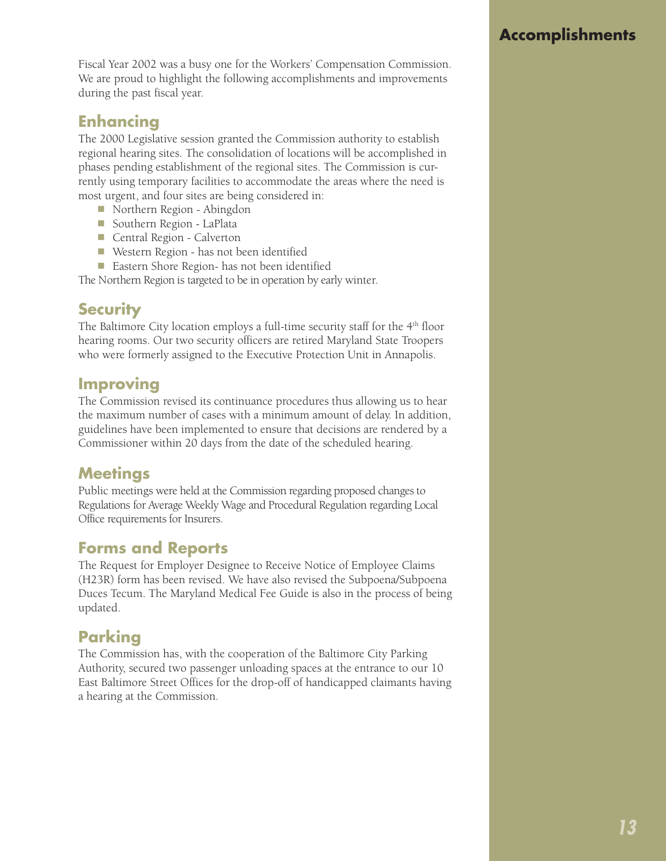Fiscal Year 2002 was a busy one for the Workers' Compensation Commission. We are proud to highlight the following accomplishments and improvements during the past fiscal year.

# **Enhancing**

The 2000 Legislative session granted the Commission authority to establish regional hearing sites. The consolidation of locations will be accomplished in phases pending establishment of the regional sites. The Commission is currently using temporary facilities to accommodate the areas where the need is most urgent, and four sites are being considered in:

- Northern Region Abingdon
- **n** Southern Region LaPlata
- Central Region Calverton
- Western Region has not been identified
- n Eastern Shore Region- has not been identified

The Northern Region is targeted to be in operation by early winter.

#### **Security**

The Baltimore City location employs a full-time security staff for the  $4<sup>th</sup>$  floor hearing rooms. Our two security officers are retired Maryland State Troopers who were formerly assigned to the Executive Protection Unit in Annapolis.

#### **Improving**

The Commission revised its continuance procedures thus allowing us to hear the maximum number of cases with a minimum amount of delay. In addition, guidelines have been implemented to ensure that decisions are rendered by a Commissioner within 20 days from the date of the scheduled hearing.

#### **Meetings**

Public meetings were held at the Commission regarding proposed changes to Regulations for Average Weekly Wage and Procedural Regulation regarding Local Office requirements for Insurers.

# **Forms and Reports**

The Request for Employer Designee to Receive Notice of Employee Claims (H23R) form has been revised. We have also revised the Subpoena/Subpoena Duces Tecum. The Maryland Medical Fee Guide is also in the process of being updated.

# **Parking**

The Commission has, with the cooperation of the Baltimore City Parking Authority, secured two passenger unloading spaces at the entrance to our 10 East Baltimore Street Offices for the drop-off of handicapped claimants having a hearing at the Commission.

# **Accomplishments**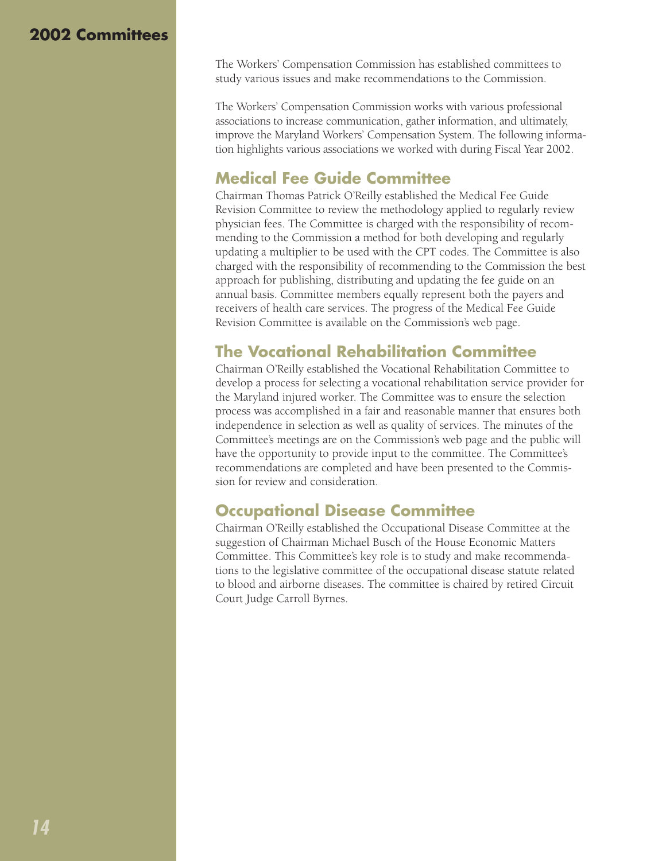#### **2002 Committees**

The Workers' Compensation Commission has established committees to study various issues and make recommendations to the Commission.

The Workers' Compensation Commission works with various professional associations to increase communication, gather information, and ultimately, improve the Maryland Workers' Compensation System. The following information highlights various associations we worked with during Fiscal Year 2002.

# **Medical Fee Guide Committee**

Chairman Thomas Patrick O'Reilly established the Medical Fee Guide Revision Committee to review the methodology applied to regularly review physician fees. The Committee is charged with the responsibility of recommending to the Commission a method for both developing and regularly updating a multiplier to be used with the CPT codes. The Committee is also charged with the responsibility of recommending to the Commission the best approach for publishing, distributing and updating the fee guide on an annual basis. Committee members equally represent both the payers and receivers of health care services. The progress of the Medical Fee Guide Revision Committee is available on the Commission's web page.

# **The Vocational Rehabilitation Committee**

Chairman O'Reilly established the Vocational Rehabilitation Committee to develop a process for selecting a vocational rehabilitation service provider for the Maryland injured worker. The Committee was to ensure the selection process was accomplished in a fair and reasonable manner that ensures both independence in selection as well as quality of services. The minutes of the Committee's meetings are on the Commission's web page and the public will have the opportunity to provide input to the committee. The Committee's recommendations are completed and have been presented to the Commission for review and consideration.

# **Occupational Disease Committee**

Chairman O'Reilly established the Occupational Disease Committee at the suggestion of Chairman Michael Busch of the House Economic Matters Committee. This Committee's key role is to study and make recommendations to the legislative committee of the occupational disease statute related to blood and airborne diseases. The committee is chaired by retired Circuit Court Judge Carroll Byrnes.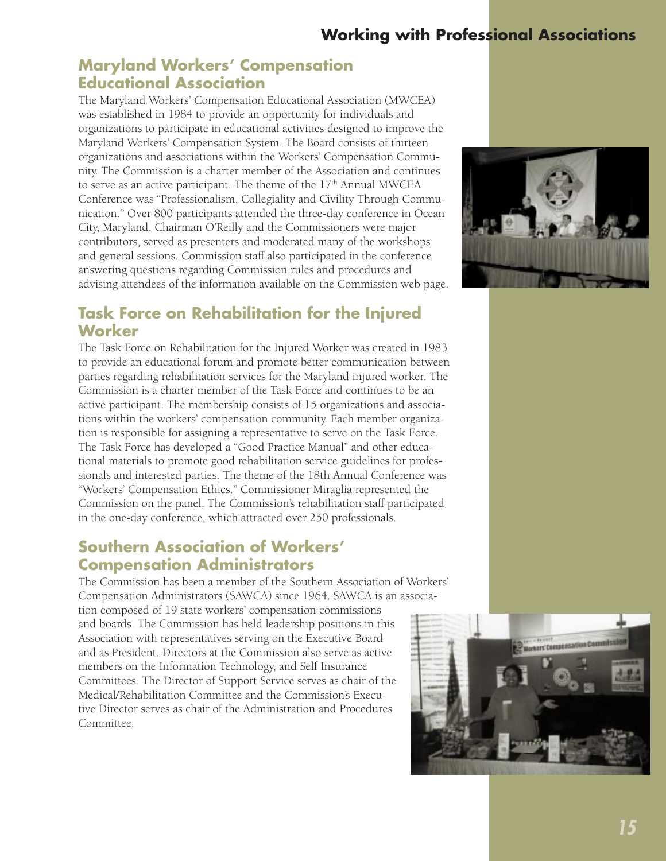# **Working with Professional Associations**

#### **Maryland Workers' Compensation Educational Association**

The Maryland Workers' Compensation Educational Association (MWCEA) was established in 1984 to provide an opportunity for individuals and organizations to participate in educational activities designed to improve the Maryland Workers' Compensation System. The Board consists of thirteen organizations and associations within the Workers' Compensation Community. The Commission is a charter member of the Association and continues to serve as an active participant. The theme of the 17<sup>th</sup> Annual MWCEA Conference was "Professionalism, Collegiality and Civility Through Communication." Over 800 participants attended the three-day conference in Ocean City, Maryland. Chairman O'Reilly and the Commissioners were major contributors, served as presenters and moderated many of the workshops and general sessions. Commission staff also participated in the conference answering questions regarding Commission rules and procedures and advising attendees of the information available on the Commission web page.

## **Task Force on Rehabilitation for the Injured Worker**

The Task Force on Rehabilitation for the Injured Worker was created in 1983 to provide an educational forum and promote better communication between parties regarding rehabilitation services for the Maryland injured worker. The Commission is a charter member of the Task Force and continues to be an active participant. The membership consists of 15 organizations and associations within the workers' compensation community. Each member organization is responsible for assigning a representative to serve on the Task Force. The Task Force has developed a "Good Practice Manual" and other educational materials to promote good rehabilitation service guidelines for professionals and interested parties. The theme of the 18th Annual Conference was "Workers' Compensation Ethics." Commissioner Miraglia represented the Commission on the panel. The Commission's rehabilitation staff participated in the one-day conference, which attracted over 250 professionals.

#### **Southern Association of Workers' Compensation Administrators**

The Commission has been a member of the Southern Association of Workers' Compensation Administrators (SAWCA) since 1964. SAWCA is an association composed of 19 state workers' compensation commissions and boards. The Commission has held leadership positions in this Association with representatives serving on the Executive Board and as President. Directors at the Commission also serve as active members on the Information Technology, and Self Insurance Committees. The Director of Support Service serves as chair of the Medical/Rehabilitation Committee and the Commission's Executive Director serves as chair of the Administration and Procedures Committee.



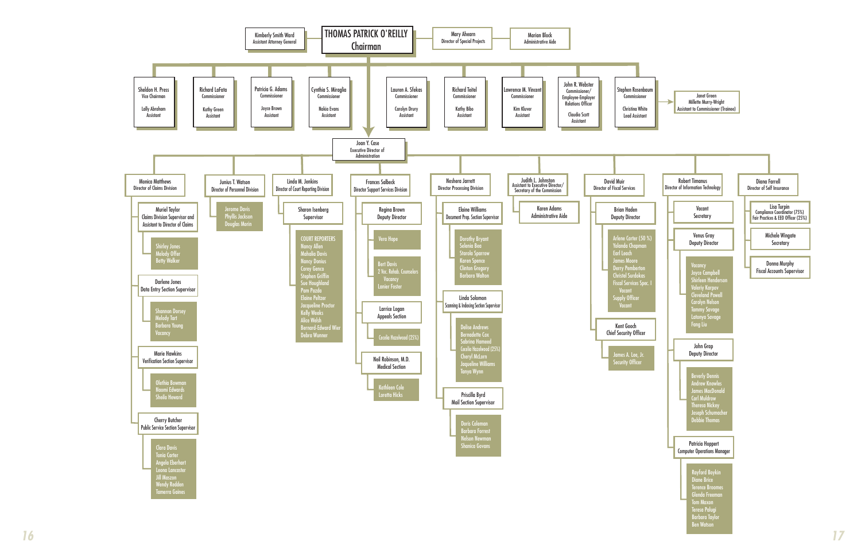

Glenda FreemanTom Maxon Teresa Palugi Barbara Taylor Ben Watson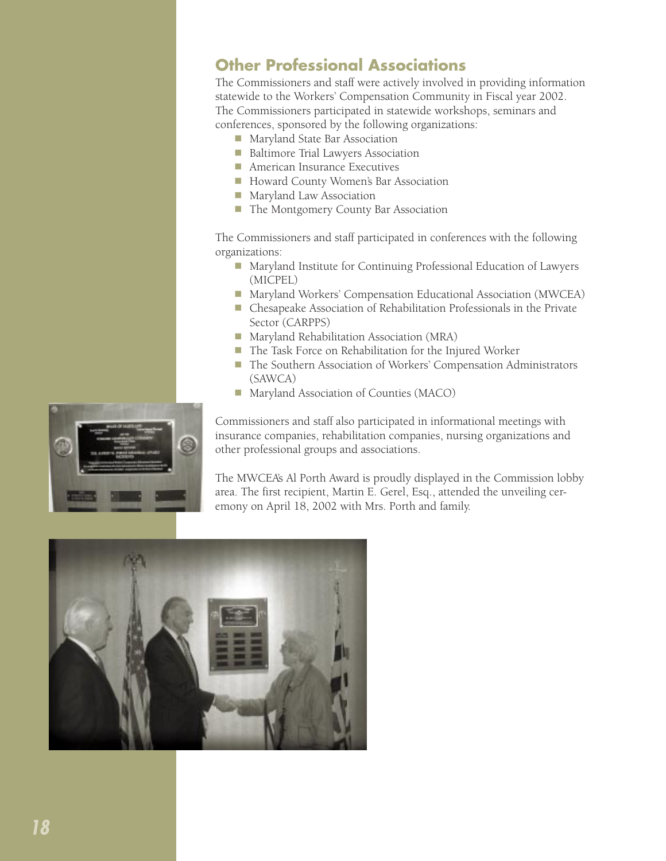### **Other Professional Associations**

The Commissioners and staff were actively involved in providing information statewide to the Workers' Compensation Community in Fiscal year 2002. The Commissioners participated in statewide workshops, seminars and conferences, sponsored by the following organizations:

- Maryland State Bar Association
- **n** Baltimore Trial Lawyers Association
- **n** American Insurance Executives
- Howard County Women's Bar Association
- **n** Maryland Law Association
- The Montgomery County Bar Association

The Commissioners and staff participated in conferences with the following organizations:

- Maryland Institute for Continuing Professional Education of Lawyers (MICPEL)
- Maryland Workers' Compensation Educational Association (MWCEA)
- n Chesapeake Association of Rehabilitation Professionals in the Private Sector (CARPPS)
- Maryland Rehabilitation Association (MRA)
- The Task Force on Rehabilitation for the Injured Worker
- The Southern Association of Workers' Compensation Administrators (SAWCA)
- Maryland Association of Counties (MACO)

Commissioners and staff also participated in informational meetings with insurance companies, rehabilitation companies, nursing organizations and other professional groups and associations.

The MWCEA's Al Porth Award is proudly displayed in the Commission lobby area. The first recipient, Martin E. Gerel, Esq., attended the unveiling ceremony on April 18, 2002 with Mrs. Porth and family.



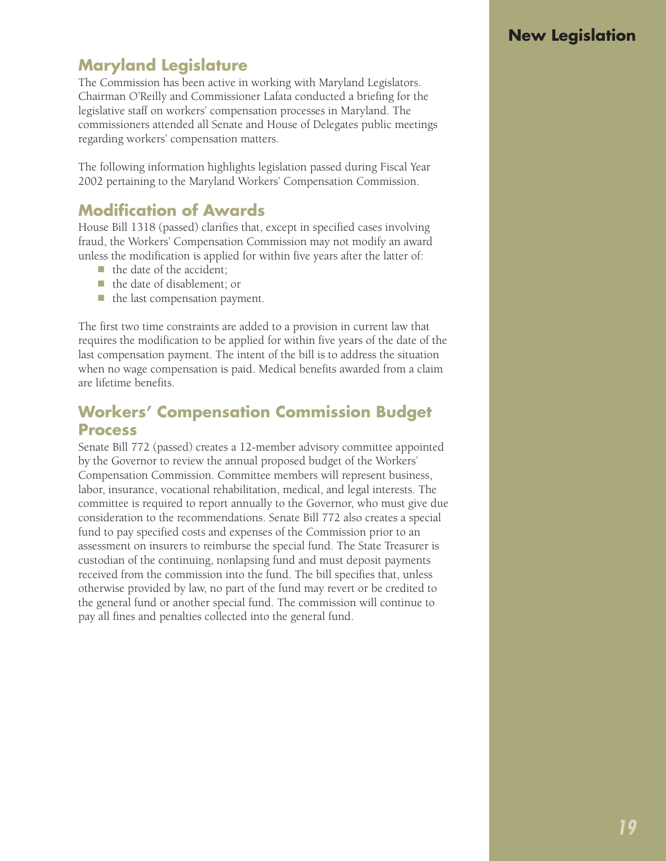# **New Legislation**

# **Maryland Legislature**

The Commission has been active in working with Maryland Legislators. Chairman O'Reilly and Commissioner Lafata conducted a briefing for the legislative staff on workers' compensation processes in Maryland. The commissioners attended all Senate and House of Delegates public meetings regarding workers' compensation matters.

The following information highlights legislation passed during Fiscal Year 2002 pertaining to the Maryland Workers' Compensation Commission.

# **Modification of Awards**

House Bill 1318 (passed) clarifies that, except in specified cases involving fraud, the Workers' Compensation Commission may not modify an award unless the modification is applied for within five years after the latter of:

- $\blacksquare$  the date of the accident;
- $\blacksquare$  the date of disablement; or
- $\blacksquare$  the last compensation payment.

The first two time constraints are added to a provision in current law that requires the modification to be applied for within five years of the date of the last compensation payment. The intent of the bill is to address the situation when no wage compensation is paid. Medical benefits awarded from a claim are lifetime benefits.

#### **Workers' Compensation Commission Budget Process**

Senate Bill 772 (passed) creates a 12-member advisory committee appointed by the Governor to review the annual proposed budget of the Workers' Compensation Commission. Committee members will represent business, labor, insurance, vocational rehabilitation, medical, and legal interests. The committee is required to report annually to the Governor, who must give due consideration to the recommendations. Senate Bill 772 also creates a special fund to pay specified costs and expenses of the Commission prior to an assessment on insurers to reimburse the special fund. The State Treasurer is custodian of the continuing, nonlapsing fund and must deposit payments received from the commission into the fund. The bill specifies that, unless otherwise provided by law, no part of the fund may revert or be credited to the general fund or another special fund. The commission will continue to pay all fines and penalties collected into the general fund.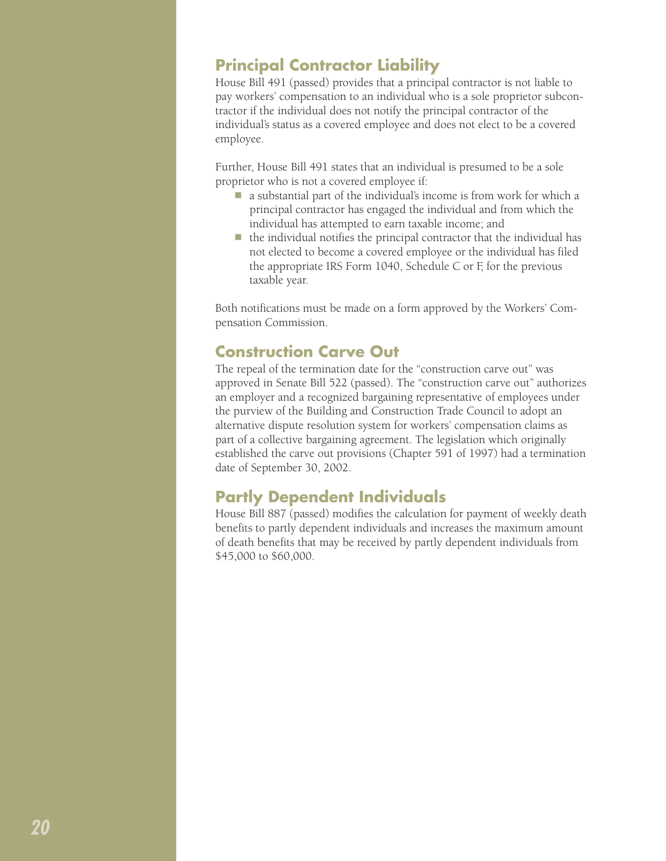### **Principal Contractor Liability**

House Bill 491 (passed) provides that a principal contractor is not liable to pay workers' compensation to an individual who is a sole proprietor subcontractor if the individual does not notify the principal contractor of the individual's status as a covered employee and does not elect to be a covered employee.

Further, House Bill 491 states that an individual is presumed to be a sole proprietor who is not a covered employee if:

- $\blacksquare$  a substantial part of the individual's income is from work for which a principal contractor has engaged the individual and from which the individual has attempted to earn taxable income; and
- $\blacksquare$  the individual notifies the principal contractor that the individual has not elected to become a covered employee or the individual has filed the appropriate IRS Form 1040, Schedule C or F, for the previous taxable year.

Both notifications must be made on a form approved by the Workers' Compensation Commission.

# **Construction Carve Out**

The repeal of the termination date for the "construction carve out" was approved in Senate Bill 522 (passed). The "construction carve out" authorizes an employer and a recognized bargaining representative of employees under the purview of the Building and Construction Trade Council to adopt an alternative dispute resolution system for workers' compensation claims as part of a collective bargaining agreement. The legislation which originally established the carve out provisions (Chapter 591 of 1997) had a termination date of September 30, 2002.

# **Partly Dependent Individuals**

House Bill 887 (passed) modifies the calculation for payment of weekly death benefits to partly dependent individuals and increases the maximum amount of death benefits that may be received by partly dependent individuals from \$45,000 to \$60,000.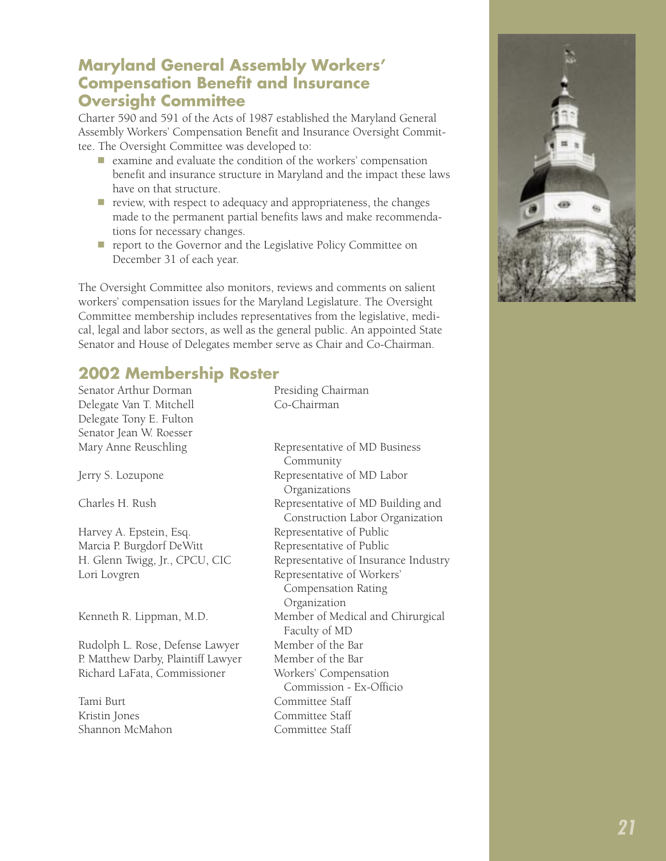#### **Maryland General Assembly Workers' Compensation Benefit and Insurance Oversight Committee**

Charter 590 and 591 of the Acts of 1987 established the Maryland General Assembly Workers' Compensation Benefit and Insurance Oversight Committee. The Oversight Committee was developed to:

- n examine and evaluate the condition of the workers' compensation benefit and insurance structure in Maryland and the impact these laws have on that structure.
- $\blacksquare$  review, with respect to adequacy and appropriateness, the changes made to the permanent partial benefits laws and make recommendations for necessary changes.
- n report to the Governor and the Legislative Policy Committee on December 31 of each year.

The Oversight Committee also monitors, reviews and comments on salient workers' compensation issues for the Maryland Legislature. The Oversight Committee membership includes representatives from the legislative, medical, legal and labor sectors, as well as the general public. An appointed State Senator and House of Delegates member serve as Chair and Co-Chairman.

# **2002 Membership Roster**

| Senator Arthur Dorman              | Presiding Chairman                                                   |
|------------------------------------|----------------------------------------------------------------------|
| Delegate Van T. Mitchell           | Co-Chairman                                                          |
| Delegate Tony E. Fulton            |                                                                      |
| Senator Jean W. Roesser            |                                                                      |
| Mary Anne Reuschling               | Representative of MD Business<br>Community                           |
| Jerry S. Lozupone                  | Representative of MD Labor<br>Organizations                          |
| Charles H. Rush                    | Representative of MD Building and<br>Construction Labor Organization |
| Harvey A. Epstein, Esq.            | Representative of Public                                             |
| Marcia P. Burgdorf DeWitt          | Representative of Public                                             |
| H. Glenn Twigg, Jr., CPCU, CIC     | Representative of Insurance Industry                                 |
| Lori Lovgren                       | Representative of Workers'<br>Compensation Rating                    |
|                                    | Organization                                                         |
| Kenneth R. Lippman, M.D.           | Member of Medical and Chirurgical<br>Faculty of MD                   |
| Rudolph L. Rose, Defense Lawyer    | Member of the Bar                                                    |
| P. Matthew Darby, Plaintiff Lawyer | Member of the Bar                                                    |
| Richard LaFata, Commissioner       | Workers' Compensation<br>Commission - Ex-Officio                     |
| Tami Burt                          | Committee Staff                                                      |
| Kristin Jones                      | Committee Staff                                                      |
| Shannon McMahon                    | Committee Staff                                                      |

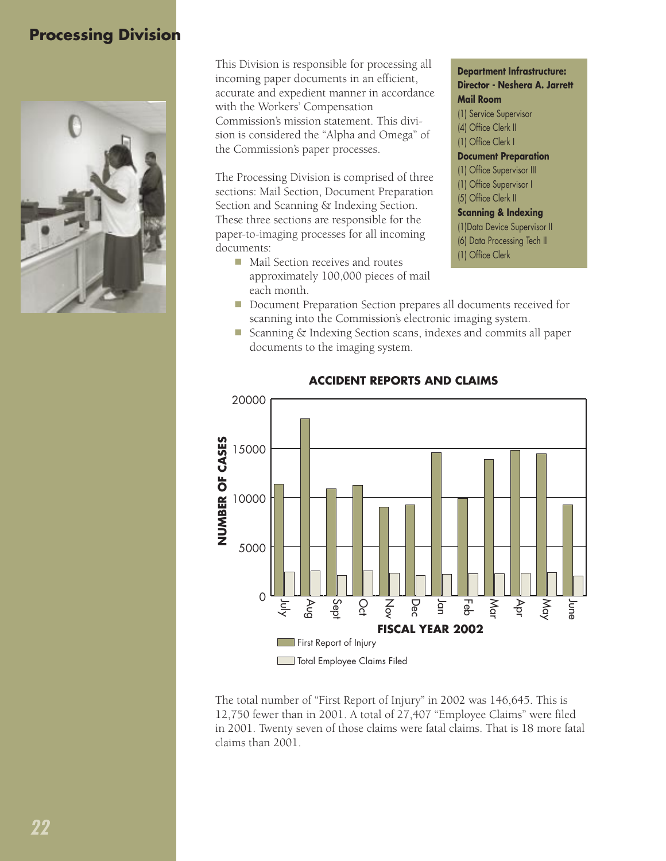# **Processing Division**



This Division is responsible for processing all incoming paper documents in an efficient, accurate and expedient manner in accordance with the Workers' Compensation Commission's mission statement. This division is considered the "Alpha and Omega" of the Commission's paper processes.

The Processing Division is comprised of three sections: Mail Section, Document Preparation Section and Scanning & Indexing Section. These three sections are responsible for the paper-to-imaging processes for all incoming documents:

- $\blacksquare$  Mail Section receives and routes approximately 100,000 pieces of mail each month.
- **Department Infrastructure: Director - Neshera A. Jarrett Mail Room** (1) Service Supervisor (4) Office Clerk II (1) Office Clerk I **Document Preparation** (1) Office Supervisor III (1) Office Supervisor I (5) Office Clerk II **Scanning & Indexing** (1)Data Device Supervisor II (6) Data Processing Tech II (1) Office Clerk
- Document Preparation Section prepares all documents received for scanning into the Commission's electronic imaging system.
- Scanning & Indexing Section scans, indexes and commits all paper documents to the imaging system.



#### **ACCIDENT REPORTS AND CLAIMS**

The total number of "First Report of Injury" in 2002 was 146,645. This is 12,750 fewer than in 2001. A total of 27,407 "Employee Claims" were filed in 2001. Twenty seven of those claims were fatal claims. That is 18 more fatal claims than 2001.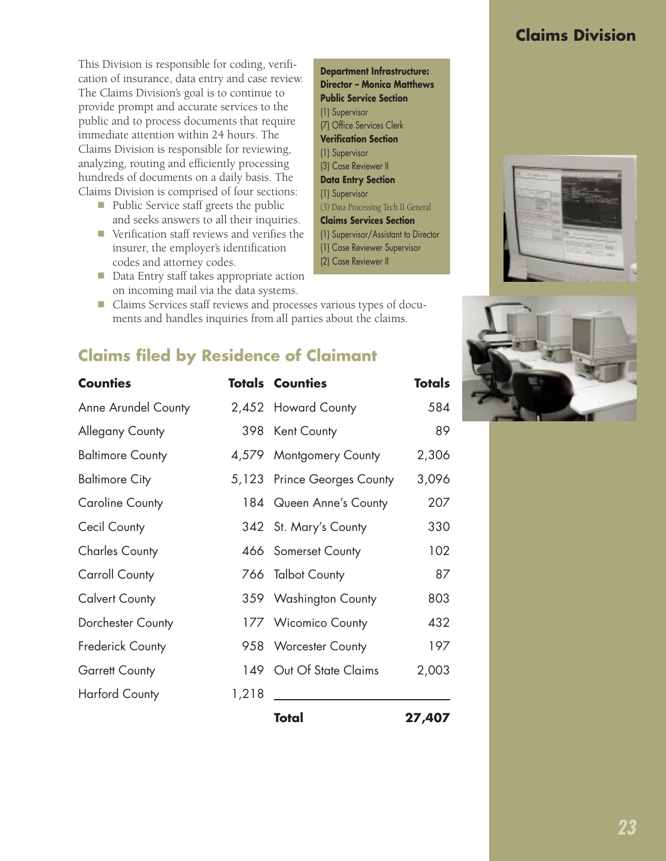# **Claims Division**

This Division is responsible for coding, verification of insurance, data entry and case review. The Claims Division's goal is to continue to provide prompt and accurate services to the public and to process documents that require immediate attention within 24 hours. The Claims Division is responsible for reviewing, analyzing, routing and efficiently processing hundreds of documents on a daily basis. The Claims Division is comprised of four sections:

- Public Service staff greets the public and seeks answers to all their inquiries.
- Verification staff reviews and verifies the insurer, the employer's identification codes and attorney codes.
- Data Entry staff takes appropriate action on incoming mail via the data systems.

n Claims Services staff reviews and processes various types of documents and handles inquiries from all parties about the claims.

# **Claims filed by Residence of Claimant**

| <b>Counties</b>            |       | <b>Totals Counties</b>      | Totals |
|----------------------------|-------|-----------------------------|--------|
| <b>Anne Arundel County</b> |       | 2,452 Howard County         | 584    |
| Allegany County            |       | 398 Kent County             | 89     |
| <b>Baltimore County</b>    |       | 4,579 Montgomery County     | 2,306  |
| <b>Baltimore City</b>      |       | 5,123 Prince Georges County | 3,096  |
| <b>Caroline County</b>     |       | 184 Queen Anne's County     | 207    |
| Cecil County               |       | 342 St. Mary's County       | 330    |
| <b>Charles County</b>      |       | 466 Somerset County         | 102    |
| Carroll County             |       | 766 Talbot County           | 87     |
| <b>Calvert County</b>      |       | 359 Washington County       | 803    |
| Dorchester County          |       | 177 Wicomico County         | 432    |
| Frederick County           |       | 958 Worcester County        | 197    |
| <b>Garrett County</b>      |       | 149 Out Of State Claims     | 2,003  |
| <b>Harford County</b>      | 1,218 |                             |        |
|                            |       | Total                       | 27,407 |

#### **Department Infrastructure: Director – Monica Matthews Public Service Section** (1) Supervisor (7) Office Services Clerk **Verification Section** (1) Supervisor (3) Case Reviewer II **Data Entry Section** (1) Supervisor (3) Data Processing Tech II General **Claims Services Section** (1) Supervisor/Assistant to Director (1) Case Reviewer Supervisor (2) Case Reviewer II



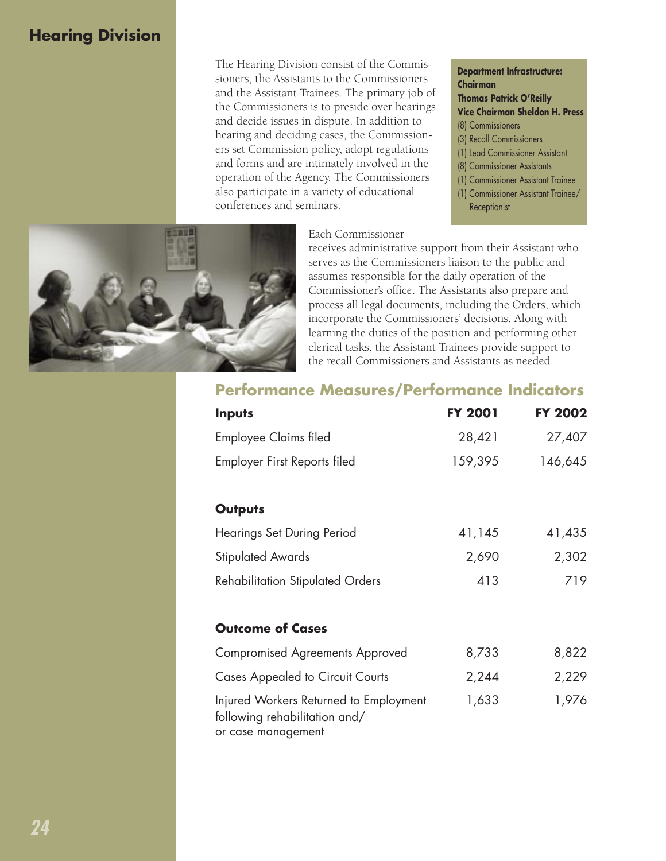# **Hearing Division**

The Hearing Division consist of the Commissioners, the Assistants to the Commissioners and the Assistant Trainees. The primary job of the Commissioners is to preside over hearings and decide issues in dispute. In addition to hearing and deciding cases, the Commissioners set Commission policy, adopt regulations and forms and are intimately involved in the operation of the Agency. The Commissioners also participate in a variety of educational conferences and seminars.

**Department Infrastructure: Chairman Thomas Patrick O'Reilly Vice Chairman Sheldon H. Press** (8) Commissioners (3) Recall Commissioners (1) Lead Commissioner Assistant (8) Commissioner Assistants (1) Commissioner Assistant Trainee (1) Commissioner Assistant Trainee/ Receptionist



receives administrative support from their Assistant who serves as the Commissioners liaison to the public and assumes responsible for the daily operation of the Commissioner's office. The Assistants also prepare and process all legal documents, including the Orders, which incorporate the Commissioners' decisions. Along with learning the duties of the position and performing other clerical tasks, the Assistant Trainees provide support to the recall Commissioners and Assistants as needed.



| <b>Inputs</b>                                                                                 | <b>FY 2001</b> | <b>FY 2002</b> |
|-----------------------------------------------------------------------------------------------|----------------|----------------|
| Employee Claims filed                                                                         | 28,421         | 27,407         |
| Employer First Reports filed                                                                  | 159,395        | 146,645        |
| <b>Outputs</b>                                                                                |                |                |
| Hearings Set During Period                                                                    | 41,145         | 41,435         |
| <b>Stipulated Awards</b>                                                                      | 2,690          | 2,302          |
| <b>Rehabilitation Stipulated Orders</b>                                                       | 413            | 719            |
| <b>Outcome of Cases</b>                                                                       |                |                |
| Compromised Agreements Approved                                                               | 8,733          | 8,822          |
| <b>Cases Appealed to Circuit Courts</b>                                                       | 2,244          | 2,229          |
| Injured Workers Returned to Employment<br>following rehabilitation and/<br>or case management | 1,633          | 1,976          |

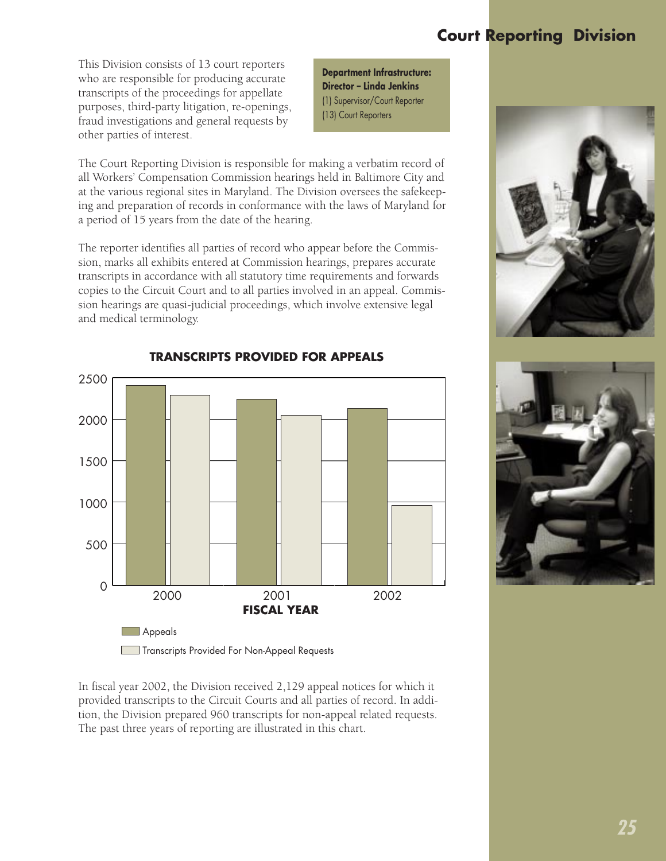# **Court Reporting Division**

This Division consists of 13 court reporters who are responsible for producing accurate transcripts of the proceedings for appellate purposes, third-party litigation, re-openings, fraud investigations and general requests by other parties of interest.

**Department Infrastructure: Director – Linda Jenkins** (1) Supervisor/Court Reporter (13) Court Reporters

The Court Reporting Division is responsible for making a verbatim record of all Workers' Compensation Commission hearings held in Baltimore City and at the various regional sites in Maryland. The Division oversees the safekeeping and preparation of records in conformance with the laws of Maryland for a period of 15 years from the date of the hearing.

The reporter identifies all parties of record who appear before the Commission, marks all exhibits entered at Commission hearings, prepares accurate transcripts in accordance with all statutory time requirements and forwards copies to the Circuit Court and to all parties involved in an appeal. Commission hearings are quasi-judicial proceedings, which involve extensive legal and medical terminology.



In fiscal year 2002, the Division received 2,129 appeal notices for which it provided transcripts to the Circuit Courts and all parties of record. In addition, the Division prepared 960 transcripts for non-appeal related requests. The past three years of reporting are illustrated in this chart.



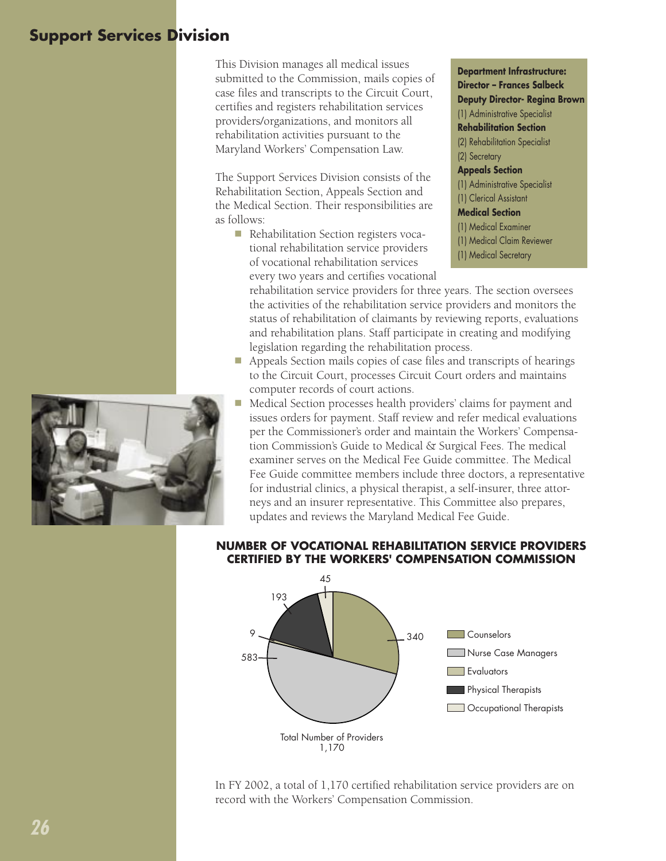# **Support Services Division**

This Division manages all medical issues submitted to the Commission, mails copies of case files and transcripts to the Circuit Court, certifies and registers rehabilitation services providers/organizations, and monitors all rehabilitation activities pursuant to the Maryland Workers' Compensation Law.

The Support Services Division consists of the Rehabilitation Section, Appeals Section and the Medical Section. Their responsibilities are as follows:

■ Rehabilitation Section registers vocational rehabilitation service providers of vocational rehabilitation services every two years and certifies vocational **Department Infrastructure: Director – Frances Salbeck Deputy Director- Regina Brown** (1) Administrative Specialist **Rehabilitation Section** (2) Rehabilitation Specialist (2) Secretary **Appeals Section** (1) Administrative Specialist (1) Clerical Assistant **Medical Section** (1) Medical Examiner (1) Medical Claim Reviewer (1) Medical Secretary

rehabilitation service providers for three years. The section oversees the activities of the rehabilitation service providers and monitors the status of rehabilitation of claimants by reviewing reports, evaluations and rehabilitation plans. Staff participate in creating and modifying legislation regarding the rehabilitation process.

- Appeals Section mails copies of case files and transcripts of hearings to the Circuit Court, processes Circuit Court orders and maintains computer records of court actions.
- n Medical Section processes health providers' claims for payment and issues orders for payment. Staff review and refer medical evaluations per the Commissioner's order and maintain the Workers' Compensation Commission's Guide to Medical & Surgical Fees. The medical examiner serves on the Medical Fee Guide committee. The Medical Fee Guide committee members include three doctors, a representative for industrial clinics, a physical therapist, a self-insurer, three attorneys and an insurer representative. This Committee also prepares, updates and reviews the Maryland Medical Fee Guide.

#### **NUMBER OF VOCATIONAL REHABILITATION SERVICE PROVIDERS CERTIFIED BY THE WORKERS' COMPENSATION COMMISSION**



In FY 2002, a total of 1,170 certified rehabilitation service providers are on record with the Workers' Compensation Commission.

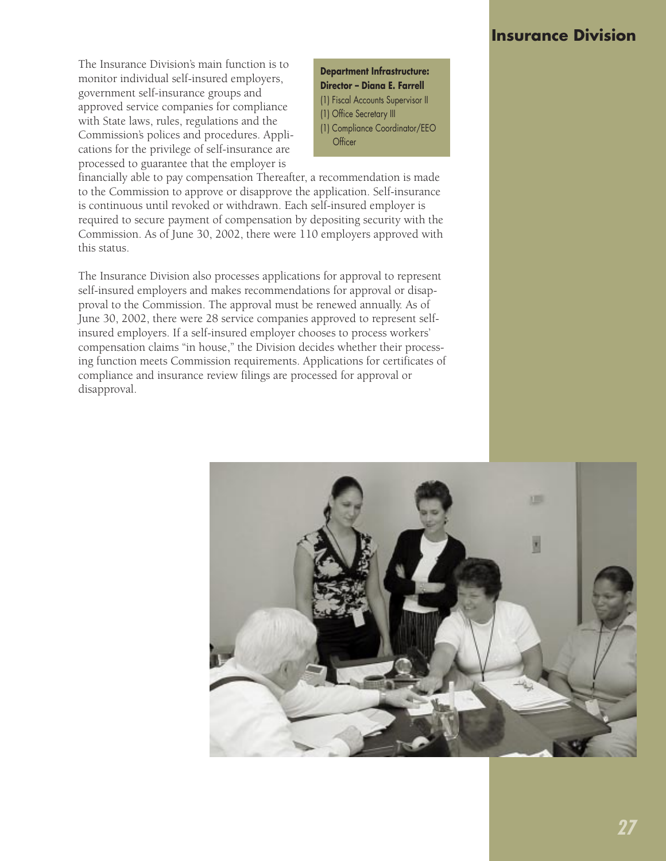#### **Insurance Division**

The Insurance Division's main function is to monitor individual self-insured employers, government self-insurance groups and approved service companies for compliance with State laws, rules, regulations and the Commission's polices and procedures. Applications for the privilege of self-insurance are processed to guarantee that the employer is

**Department Infrastructure: Director – Diana E. Farrell** (1) Fiscal Accounts Supervisor II (1) Office Secretary III (1) Compliance Coordinator/EEO **Officer** 

financially able to pay compensation Thereafter, a recommendation is made to the Commission to approve or disapprove the application. Self-insurance is continuous until revoked or withdrawn. Each self-insured employer is required to secure payment of compensation by depositing security with the Commission. As of June 30, 2002, there were 110 employers approved with this status.

The Insurance Division also processes applications for approval to represent self-insured employers and makes recommendations for approval or disapproval to the Commission. The approval must be renewed annually. As of June 30, 2002, there were 28 service companies approved to represent selfinsured employers. If a self-insured employer chooses to process workers' compensation claims "in house," the Division decides whether their processing function meets Commission requirements. Applications for certificates of compliance and insurance review filings are processed for approval or disapproval.

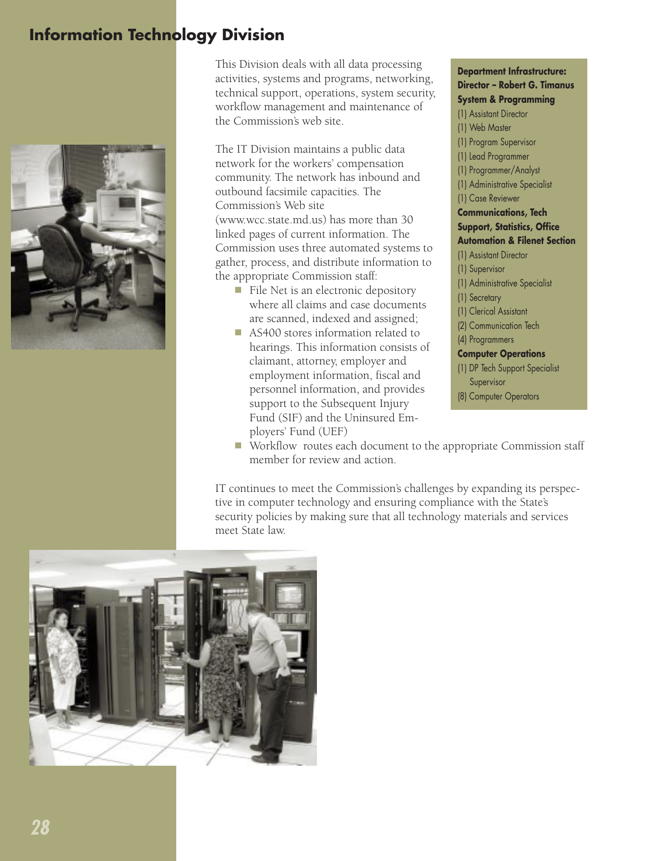# **Information Technology Division**



This Division deals with all data processing activities, systems and programs, networking, technical support, operations, system security, workflow management and maintenance of the Commission's web site.

The IT Division maintains a public data network for the workers' compensation community. The network has inbound and outbound facsimile capacities. The Commission's Web site (www.wcc.state.md.us) has more than 30 linked pages of current information. The Commission uses three automated systems to gather, process, and distribute information to the appropriate Commission staff:

- File Net is an electronic depository where all claims and case documents are scanned, indexed and assigned;
- AS400 stores information related to hearings. This information consists of claimant, attorney, employer and employment information, fiscal and personnel information, and provides support to the Subsequent Injury Fund (SIF) and the Uninsured Employers' Fund (UEF)

**Department Infrastructure: Director – Robert G. Timanus System & Programming**

(1) Assistant Director (1) Web Master (1) Program Supervisor (1) Lead Programmer (1) Programmer/Analyst (1) Administrative Specialist (1) Case Reviewer **Communications, Tech Support, Statistics, Office Automation & Filenet Section** (1) Assistant Director (1) Supervisor (1) Administrative Specialist (1) Secretary (1) Clerical Assistant (2) Communication Tech (4) Programmers **Computer Operations** (1) DP Tech Support Specialist Supervisor (8) Computer Operators

■ Workflow routes each document to the appropriate Commission staff member for review and action.

IT continues to meet the Commission's challenges by expanding its perspective in computer technology and ensuring compliance with the State's security policies by making sure that all technology materials and services meet State law.

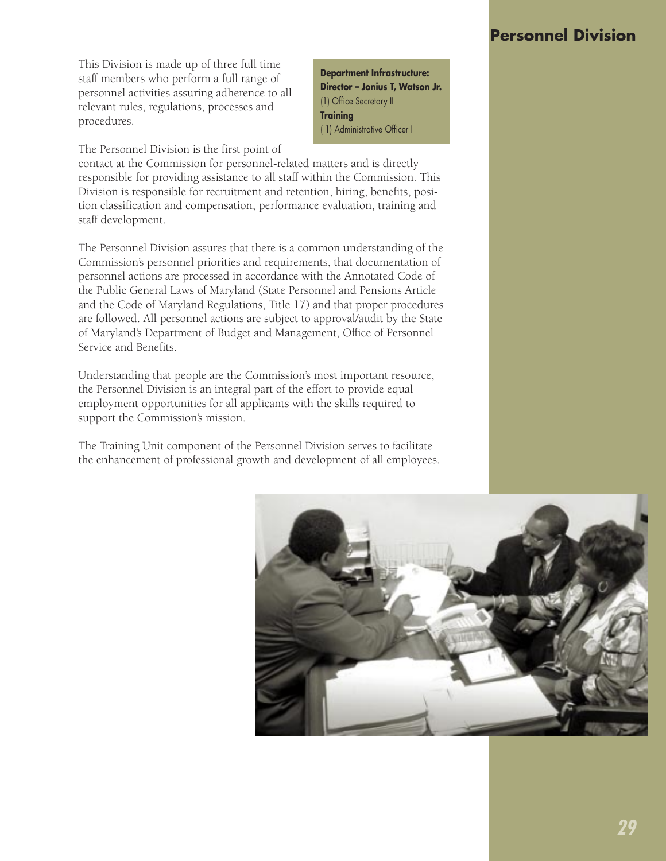#### **Personnel Division**

This Division is made up of three full time staff members who perform a full range of personnel activities assuring adherence to all relevant rules, regulations, processes and procedures.

The Personnel Division is the first point of

contact at the Commission for personnel-related matters and is directly responsible for providing assistance to all staff within the Commission. This Division is responsible for recruitment and retention, hiring, benefits, position classification and compensation, performance evaluation, training and staff development.

**Department Infrastructure: Director – Jonius T, Watson Jr.**

(1) Office Secretary II

( 1) Administrative Officer I

**Training**

The Personnel Division assures that there is a common understanding of the Commission's personnel priorities and requirements, that documentation of personnel actions are processed in accordance with the Annotated Code of the Public General Laws of Maryland (State Personnel and Pensions Article and the Code of Maryland Regulations, Title 17) and that proper procedures are followed. All personnel actions are subject to approval/audit by the State of Maryland's Department of Budget and Management, Office of Personnel Service and Benefits.

Understanding that people are the Commission's most important resource, the Personnel Division is an integral part of the effort to provide equal employment opportunities for all applicants with the skills required to support the Commission's mission.

The Training Unit component of the Personnel Division serves to facilitate the enhancement of professional growth and development of all employees.

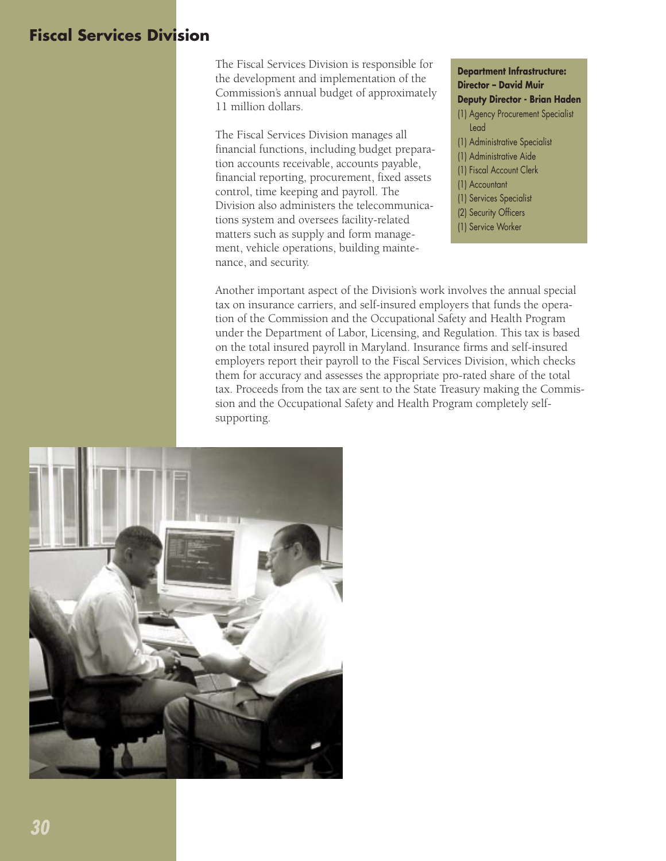## **Fiscal Services Division**

The Fiscal Services Division is responsible for the development and implementation of the Commission's annual budget of approximately 11 million dollars.

The Fiscal Services Division manages all financial functions, including budget preparation accounts receivable, accounts payable, financial reporting, procurement, fixed assets control, time keeping and payroll. The Division also administers the telecommunications system and oversees facility-related matters such as supply and form management, vehicle operations, building maintenance, and security.

**Department Infrastructure: Director – David Muir Deputy Director - Brian Haden** (1) Agency Procurement Specialist Lead (1) Administrative Specialist (1) Administrative Aide (1) Fiscal Account Clerk (1) Accountant (1) Services Specialist (2) Security Officers (1) Service Worker

Another important aspect of the Division's work involves the annual special tax on insurance carriers, and self-insured employers that funds the operation of the Commission and the Occupational Safety and Health Program under the Department of Labor, Licensing, and Regulation. This tax is based on the total insured payroll in Maryland. Insurance firms and self-insured employers report their payroll to the Fiscal Services Division, which checks them for accuracy and assesses the appropriate pro-rated share of the total tax. Proceeds from the tax are sent to the State Treasury making the Commission and the Occupational Safety and Health Program completely selfsupporting.

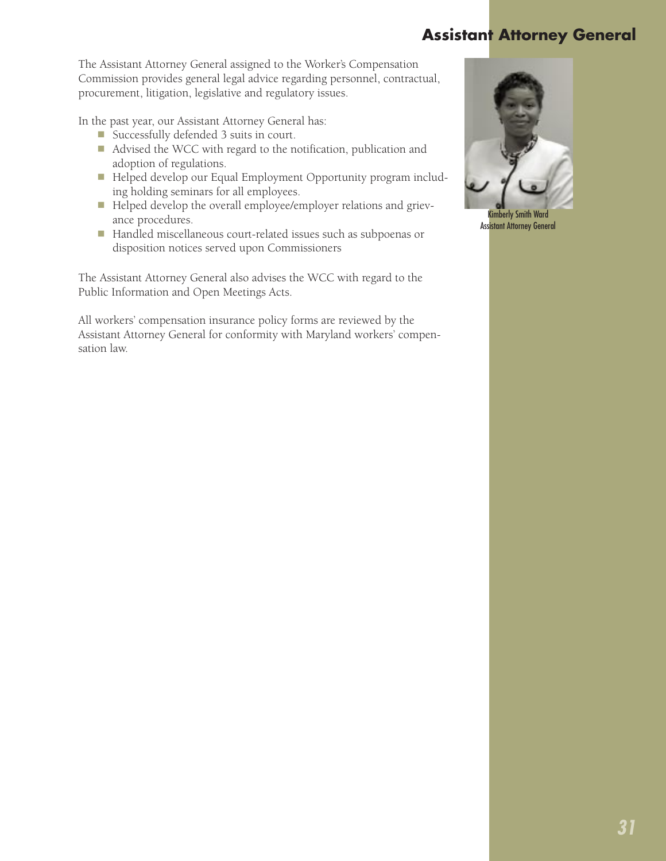# **Assistant Attorney General**

The Assistant Attorney General assigned to the Worker's Compensation Commission provides general legal advice regarding personnel, contractual, procurement, litigation, legislative and regulatory issues.

In the past year, our Assistant Attorney General has:

- Successfully defended 3 suits in court.
- Advised the WCC with regard to the notification, publication and adoption of regulations.
- n Helped develop our Equal Employment Opportunity program including holding seminars for all employees.
- Helped develop the overall employee/employer relations and grievance procedures.
- Handled miscellaneous court-related issues such as subpoenas or disposition notices served upon Commissioners

The Assistant Attorney General also advises the WCC with regard to the Public Information and Open Meetings Acts.

All workers' compensation insurance policy forms are reviewed by the Assistant Attorney General for conformity with Maryland workers' compensation law.



Kimberly Smith Ward Assistant Attorney General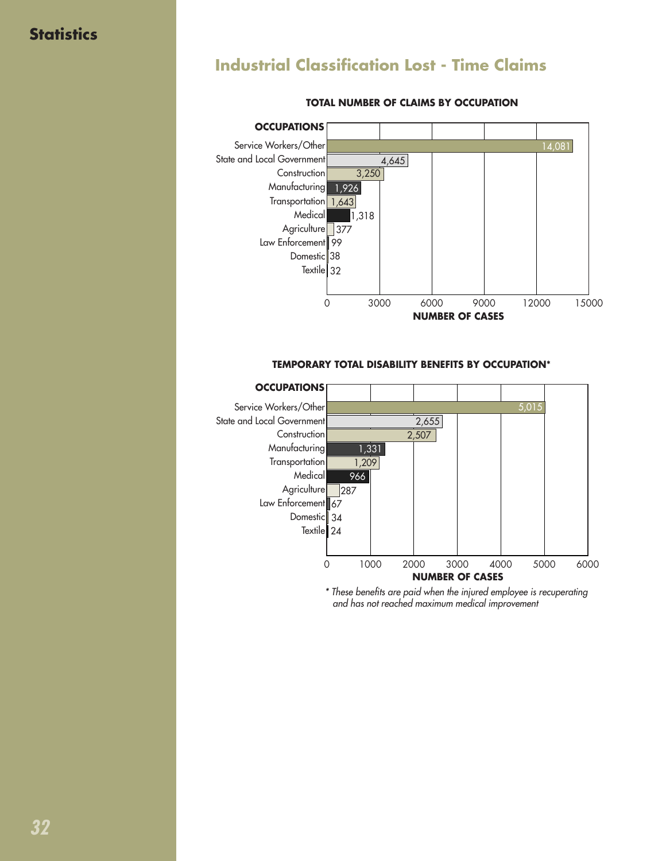### **Statistics**

# **Industrial Classification Lost - Time Claims**



#### **TOTAL NUMBER OF CLAIMS BY OCCUPATION**

#### **TEMPORARY TOTAL DISABILITY BENEFITS BY OCCUPATION\***



\* These benefits are paid when the injured employee is recuperating and has not reached maximum medical improvement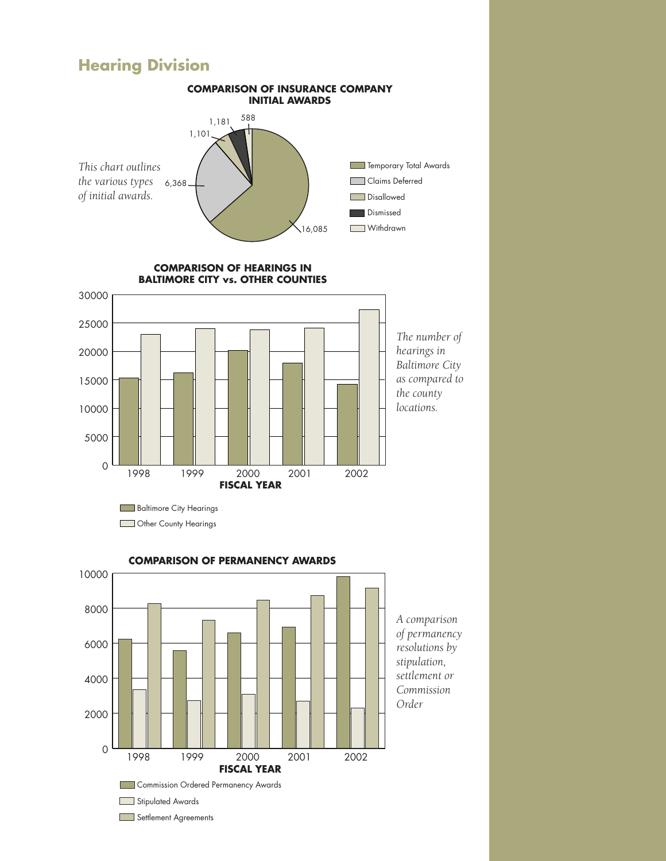#### **Hearing Division**



Settlement Agreements